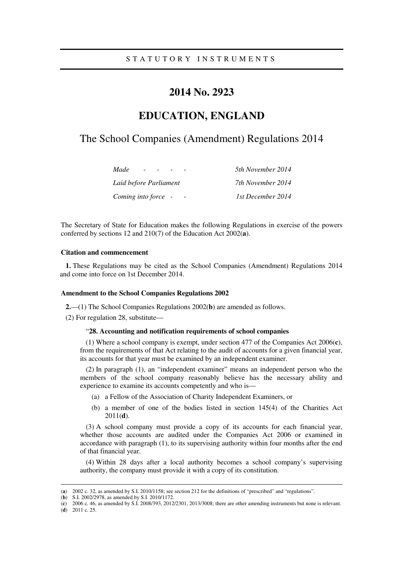## **2014 No. 2923**

# **EDUCATION, ENGLAND**

## The School Companies (Amendment) Regulations 2014

| Made<br>$\sim$         | 5th November 2014 |
|------------------------|-------------------|
| Laid before Parliament | 7th November 2014 |
| Coming into force -    | 1st December 2014 |

The Secretary of State for Education makes the following Regulations in exercise of the powers conferred by sections 12 and 210(7) of the Education Act 2002(**a**).

## **Citation and commencement**

**1.** These Regulations may be cited as the School Companies (Amendment) Regulations 2014 and come into force on 1st December 2014.

#### **Amendment to the School Companies Regulations 2002**

**2.**—(1) The School Companies Regulations 2002(**b**) are amended as follows.

(2) For regulation 28, substitute—

## "**28. Accounting and notification requirements of school companies**

(1) Where a school company is exempt, under section 477 of the Companies Act 2006(**c**), from the requirements of that Act relating to the audit of accounts for a given financial year, its accounts for that year must be examined by an independent examiner.

(2) In paragraph (1), an "independent examiner" means an independent person who the members of the school company reasonably believe has the necessary ability and experience to examine its accounts competently and who is—

- (a) a Fellow of the Association of Charity Independent Examiners, or
- (b) a member of one of the bodies listed in section 145(4) of the Charities Act 2011(**d**).

(3) A school company must provide a copy of its accounts for each financial year, whether those accounts are audited under the Companies Act 2006 or examined in accordance with paragraph (1), to its supervising authority within four months after the end of that financial year.

(4) Within 28 days after a local authority becomes a school company's supervising authority, the company must provide it with a copy of its constitution.

(**d**) 2011 c. 25.

<u>.</u>

<sup>(</sup>**a**) 2002 c. 32, as amended by S.I. 2010/1158; see section 212 for the definitions of "prescribed" and "regulations".

<sup>(</sup>**b**) S.I. 2002/2978, as amended by S.I. 2010/1172.

<sup>(</sup>**c**) 2006 c. 46, as amended by S.I. 2008/393, 2012/2301, 2013/3008; there are other amending instruments but none is relevant.